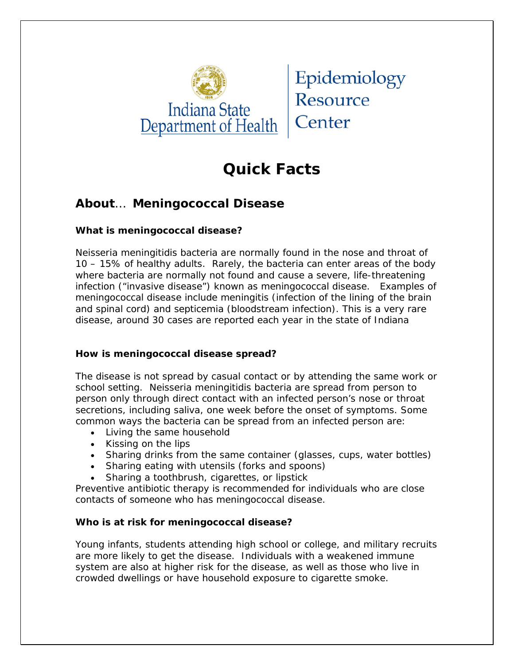

Epidemiology Resource Center

# **Quick Facts**

## **About**… **Meningococcal Disease**

#### **What is meningococcal disease?**

*Neisseria meningitidis* bacteria are normally found in the nose and throat of 10 – 15% of healthy adults. Rarely, the bacteria can enter areas of the body where bacteria are normally not found and cause a severe, life-threatening infection ("invasive disease") known as meningococcal disease. Examples of meningococcal disease include meningitis (infection of the lining of the brain and spinal cord) and septicemia (bloodstream infection). This is a very rare disease, around 30 cases are reported each year in the state of Indiana

#### **How is meningococcal disease spread?**

The disease is not spread by casual contact or by attending the same work or school setting. *Neisseria meningitidis* bacteria are spread from person to person *only through* direct contact with an infected person's nose or throat secretions, including saliva, one week before the onset of symptoms. Some common ways the bacteria can be spread from an infected person are:

- Living the same household
- Kissing on the lips
- Sharing drinks from the same container (glasses, cups, water bottles)
- Sharing eating with utensils (forks and spoons)
- Sharing a toothbrush, cigarettes, or lipstick

Preventive antibiotic therapy is recommended for individuals who are close contacts of someone who has meningococcal disease.

### **Who is at risk for meningococcal disease?**

Young infants, students attending high school or college, and military recruits are more likely to get the disease. Individuals with a weakened immune system are also at higher risk for the disease, as well as those who live in crowded dwellings or have household exposure to cigarette smoke.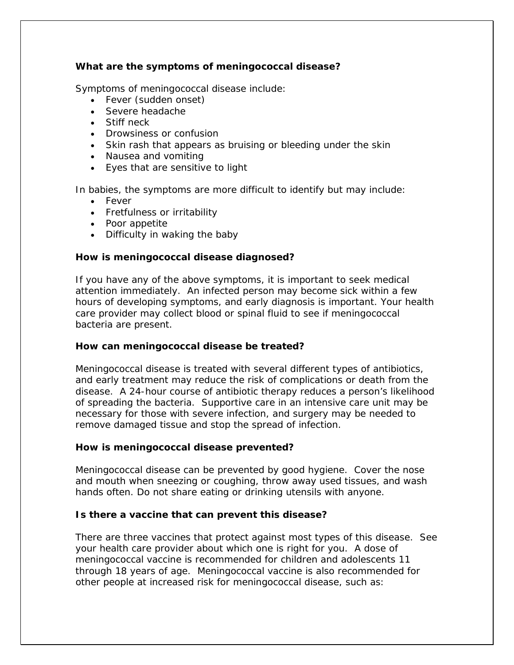#### **What are the symptoms of meningococcal disease?**

Symptoms of meningococcal disease include:

- Fever (sudden onset)
- Severe headache
- Stiff neck
- Drowsiness or confusion
- Skin rash that appears as bruising or bleeding under the skin
- Nausea and vomiting
- Eyes that are sensitive to light

In babies, the symptoms are more difficult to identify but may include:

- Fever
- Fretfulness or irritability
- Poor appetite
- Difficulty in waking the baby

#### **How is meningococcal disease diagnosed?**

If you have any of the above symptoms, it is important to seek medical attention immediately. An infected person may become sick within a few hours of developing symptoms, and early diagnosis is important. Your health care provider may collect blood or spinal fluid to see if meningococcal bacteria are present.

#### **How can meningococcal disease be treated?**

Meningococcal disease is treated with several different types of antibiotics, and early treatment may reduce the risk of complications or death from the disease. A 24-hour course of antibiotic therapy reduces a person's likelihood of spreading the bacteria. Supportive care in an intensive care unit may be necessary for those with severe infection, and surgery may be needed to remove damaged tissue and stop the spread of infection.

#### **How is meningococcal disease prevented?**

Meningococcal disease can be prevented by good hygiene. Cover the nose and mouth when sneezing or coughing, throw away used tissues, and wash hands often. Do not share eating or drinking utensils with anyone.

#### **Is there a vaccine that can prevent this disease?**

There are three vaccines that protect against most types of this disease. See your health care provider about which one is right for you. A dose of meningococcal vaccine is recommended for children and adolescents 11 through 18 years of age. Meningococcal vaccine is also recommended for other people at increased risk for meningococcal disease, such as: